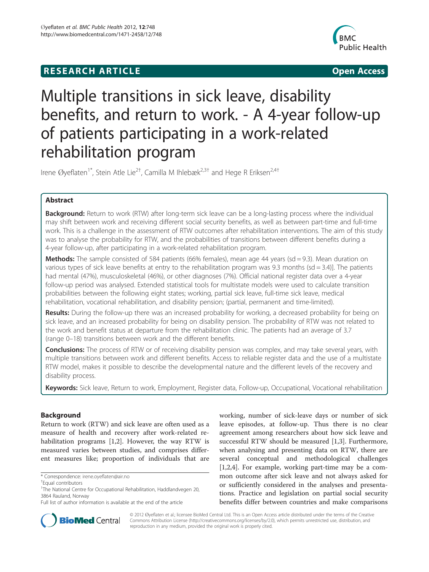# **RESEARCH ARTICLE Example 20 and 20 and 20 and 20 and 20 and 20 and 20 and 20 and 20 and 20 and 20 and 20 and 20 and 20 and 20 and 20 and 20 and 20 and 20 and 20 and 20 and 20 and 20 and 20 and 20 and 20 and 20 and 20 an**



# Multiple transitions in sick leave, disability benefits, and return to work. - A 4-year follow-up of patients participating in a work-related rehabilitation program

Irene Øyeflaten<sup>1\*</sup>, Stein Atle Lie<sup>2†</sup>, Camilla M Ihlebæk<sup>2,3†</sup> and Hege R Eriksen<sup>2,4†</sup>

# Abstract

**Background:** Return to work (RTW) after long-term sick leave can be a long-lasting process where the individual may shift between work and receiving different social security benefits, as well as between part-time and full-time work. This is a challenge in the assessment of RTW outcomes after rehabilitation interventions. The aim of this study was to analyse the probability for RTW, and the probabilities of transitions between different benefits during a 4-year follow-up, after participating in a work-related rehabilitation program.

Methods: The sample consisted of 584 patients (66% females), mean age 44 years (sd = 9.3). Mean duration on various types of sick leave benefits at entry to the rehabilitation program was 9.3 months ( $sd = 3.4$ )]. The patients had mental (47%), musculoskeletal (46%), or other diagnoses (7%). Official national register data over a 4-year follow-up period was analysed. Extended statistical tools for multistate models were used to calculate transition probabilities between the following eight states; working, partial sick leave, full-time sick leave, medical rehabilitation, vocational rehabilitation, and disability pension; (partial, permanent and time-limited).

Results: During the follow-up there was an increased probability for working, a decreased probability for being on sick leave, and an increased probability for being on disability pension. The probability of RTW was not related to the work and benefit status at departure from the rehabilitation clinic. The patients had an average of 3.7 (range 0–18) transitions between work and the different benefits.

**Conclusions:** The process of RTW or of receiving disability pension was complex, and may take several years, with multiple transitions between work and different benefits. Access to reliable register data and the use of a multistate RTW model, makes it possible to describe the developmental nature and the different levels of the recovery and disability process.

Keywords: Sick leave, Return to work, Employment, Register data, Follow-up, Occupational, Vocational rehabilitation

# Background

Return to work (RTW) and sick leave are often used as a measure of health and recovery after work-related rehabilitation programs [\[1,2](#page-7-0)]. However, the way RTW is measured varies between studies, and comprises different measures like; proportion of individuals that are

working, number of sick-leave days or number of sick leave episodes, at follow-up. Thus there is no clear agreement among researchers about how sick leave and successful RTW should be measured [[1,3\]](#page-7-0). Furthermore, when analysing and presenting data on RTW, there are several conceptual and methodological challenges [[1,2,4\]](#page-7-0). For example, working part-time may be a common outcome after sick leave and not always asked for or sufficiently considered in the analyses and presentations. Practice and legislation on partial social security benefits differ between countries and make comparisons



© 2012 yeflaten et al.; licensee BioMed Central Ltd. This is an Open Access article distributed under the terms of the Creative Commons Attribution License [\(http://creativecommons.org/licenses/by/2.0\)](http://creativecommons.org/licenses/by/2.0), which permits unrestricted use, distribution, and reproduction in any medium, provided the original work is properly cited.

<sup>\*</sup> Correspondence: [irene.oyeflaten@air.no](mailto:irene.oyeflaten@air.no) †

Equal contributors

<sup>&</sup>lt;sup>1</sup>The National Centre for Occupational Rehabilitation, Haddlandvegen 20, 3864 Rauland, Norway

Full list of author information is available at the end of the article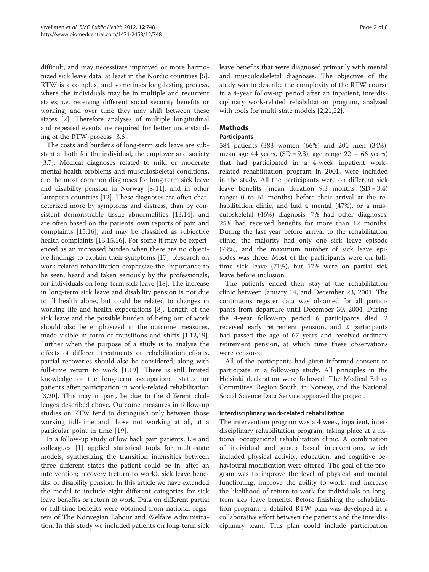difficult, and may necessitate improved or more harmonized sick leave data, at least in the Nordic countries [\[5](#page-7-0)]. RTW is a complex, and sometimes long-lasting process, where the individuals may be in multiple and recurrent states; i.e. receiving different social security benefits or working, and over time they may shift between these states [\[2](#page-7-0)]. Therefore analyses of multiple longitudinal and repeated events are required for better understanding of the RTW-process [\[3,6](#page-7-0)].

The costs and burdens of long-term sick leave are substantial both for the individual, the employer and society [[3,7\]](#page-7-0). Medical diagnoses related to mild or moderate mental health problems and musculoskeletal conditions, are the most common diagnoses for long term sick leave and disability pension in Norway [\[8](#page-7-0)-[11\]](#page-7-0), and in other European countries [[12](#page-7-0)]. These diagnoses are often characterized more by symptoms and distress, than by consistent demonstrable tissue abnormalities [[13,14](#page-7-0)], and are often based on the patients' own reports of pain and complaints [\[15,16](#page-7-0)], and may be classified as subjective health complaints [\[13,15,16\]](#page-7-0). For some it may be experienced as an increased burden when there are no objective findings to explain their symptoms [[17\]](#page-7-0). Research on work-related rehabilitation emphasize the importance to be seen, heard and taken seriously by the professionals, for individuals on long-term sick leave [\[18](#page-7-0)]. The increase in long-term sick leave and disability pension is not due to ill health alone, but could be related to changes in working life and health expectations [\[8\]](#page-7-0). Length of the sick leave and the possible burden of being out of work should also be emphasized in the outcome measures, made visible in form of transitions and shifts [\[1,12,19](#page-7-0)]. Further when the purpose of a study is to analyse the effects of different treatments or rehabilitation efforts, partial recoveries should also be considered, along with full-time return to work [\[1,19\]](#page-7-0). There is still limited knowledge of the long-term occupational status for patients after participation in work-related rehabilitation [[3,20\]](#page-7-0). This may in part, be due to the different challenges described above. Outcome measures in follow-up studies on RTW tend to distinguish only between those working full-time and those not working at all, at a particular point in time [[19](#page-7-0)].

In a follow-up study of low back pain patients, Lie and colleagues [[1\]](#page-7-0) applied statistical tools for multi-state models, synthesizing the transition intensities between three different states the patient could be in, after an intervention; recovery (return to work), sick leave benefits, or disability pension. In this article we have extended the model to include eight different categories for sick leave benefits or return to work. Data on different partial or full-time benefits were obtained from national registers of The Norwegian Labour and Welfare Administration. In this study we included patients on long-term sick leave benefits that were diagnosed primarily with mental and musculoskeletal diagnoses. The objective of the study was to describe the complexity of the RTW course in a 4-year follow-up period after an inpatient, interdisciplinary work-related rehabilitation program, analysed with tools for multi-state models [[2,21,22\]](#page-7-0).

# **Methods**

### **Participants**

584 patients (383 women (66%) and 201 men (34%), mean age 44 years,  $(SD = 9.3)$ ; age range 22 – 66 years) that had participated in a 4-week inpatient workrelated rehabilitation program in 2001, were included in the study. All the participants were on different sick leave benefits (mean duration 9.3 months  $(SD = 3.4)$ ) range: 0 to 61 months) before their arrival at the rehabilitation clinic, and had a mental (47%), or a musculoskeletal (46%) diagnosis. 7% had other diagnoses. 25% had received benefits for more than 12 months. During the last year before arrival to the rehabilitation clinic, the majority had only one sick leave episode (79%), and the maximum number of sick leave episodes was three. Most of the participants were on fulltime sick leave (71%), but 17% were on partial sick leave before inclusion.

The patients ended their stay at the rehabilitation clinic between January 14, and December 23, 2001. The continuous register data was obtained for all participants from departure until December 30, 2004. During the 4-year follow-up period 6 participants died, 2 received early retirement pension, and 2 participants had passed the age of 67 years and received ordinary retirement pension, at which time these observations were censored.

All of the participants had given informed consent to participate in a follow-up study. All principles in the Helsinki declaration were followed. The Medical Ethics Committee, Region South, in Norway, and the National Social Science Data Service approved the project.

# Interdisciplinary work-related rehabilitation

The intervention program was a 4 week, inpatient, interdisciplinary rehabilitation program, taking place at a national occupational rehabilitation clinic. A combination of individual and group based interventions, which included physical activity, education, and cognitive behavioural modification were offered. The goal of the program was to improve the level of physical and mental functioning, improve the ability to work, and increase the likelihood of return to work for individuals on longterm sick leave benefits. Before finishing the rehabilitation program, a detailed RTW plan was developed in a collaborative effort between the patients and the interdisciplinary team. This plan could include participation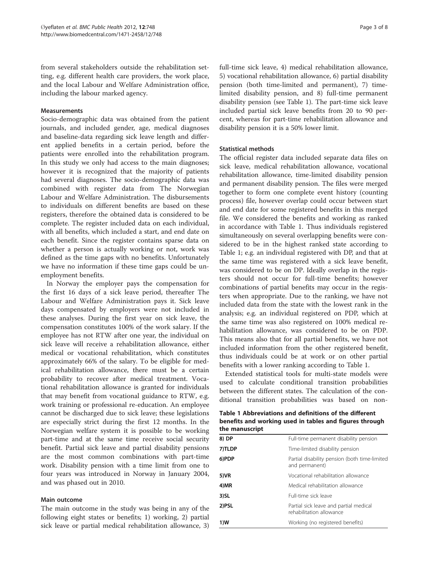from several stakeholders outside the rehabilitation setting, e.g. different health care providers, the work place, and the local Labour and Welfare Administration office, including the labour marked agency.

#### **Measurements**

Socio-demographic data was obtained from the patient journals, and included gender, age, medical diagnoses and baseline-data regarding sick leave length and different applied benefits in a certain period, before the patients were enrolled into the rehabilitation program. In this study we only had access to the main diagnoses; however it is recognized that the majority of patients had several diagnoses. The socio-demographic data was combined with register data from The Norwegian Labour and Welfare Administration. The disbursements to individuals on different benefits are based on these registers, therefore the obtained data is considered to be complete. The register included data on each individual, with all benefits, which included a start, and end date on each benefit. Since the register contains sparse data on whether a person is actually working or not, work was defined as the time gaps with no benefits. Unfortunately we have no information if these time gaps could be unemployment benefits.

In Norway the employer pays the compensation for the first 16 days of a sick leave period, thereafter The Labour and Welfare Administration pays it. Sick leave days compensated by employers were not included in these analyses. During the first year on sick leave, the compensation constitutes 100% of the work salary. If the employee has not RTW after one year, the individual on sick leave will receive a rehabilitation allowance, either medical or vocational rehabilitation, which constitutes approximately 66% of the salary. To be eligible for medical rehabilitation allowance, there must be a certain probability to recover after medical treatment. Vocational rehabilitation allowance is granted for individuals that may benefit from vocational guidance to RTW, e.g. work training or professional re-education. An employee cannot be discharged due to sick leave; these legislations are especially strict during the first 12 months. In the Norwegian welfare system it is possible to be working part-time and at the same time receive social security benefit. Partial sick leave and partial disability pensions are the most common combinations with part-time work. Disability pension with a time limit from one to four years was introduced in Norway in January 2004, and was phased out in 2010.

# Main outcome

The main outcome in the study was being in any of the following eight states or benefits; 1) working, 2) partial sick leave or partial medical rehabilitation allowance, 3) full-time sick leave, 4) medical rehabilitation allowance, 5) vocational rehabilitation allowance, 6) partial disability pension (both time-limited and permanent), 7) timelimited disability pension, and 8) full-time permanent disability pension (see Table 1). The part-time sick leave included partial sick leave benefits from 20 to 90 percent, whereas for part-time rehabilitation allowance and disability pension it is a 50% lower limit.

# Statistical methods

The official register data included separate data files on sick leave, medical rehabilitation allowance, vocational rehabilitation allowance, time-limited disability pension and permanent disability pension. The files were merged together to form one complete event history (counting process) file, however overlap could occur between start and end date for some registered benefits in this merged file. We considered the benefits and working as ranked in accordance with Table 1. Thus individuals registered simultaneously on several overlapping benefits were considered to be in the highest ranked state according to Table 1; e.g. an individual registered with DP, and that at the same time was registered with a sick leave benefit, was considered to be on DP. Ideally overlap in the registers should not occur for full-time benefits; however combinations of partial benefits may occur in the registers when appropriate. Due to the ranking, we have not included data from the state with the lowest rank in the analysis; e.g. an individual registered on PDP, which at the same time was also registered on 100% medical rehabilitation allowance, was considered to be on PDP. This means also that for all partial benefits, we have not included information from the other registered benefit, thus individuals could be at work or on other partial benefits with a lower ranking according to Table 1.

Extended statistical tools for multi-state models were used to calculate conditional transition probabilities between the different states. The calculation of the conditional transition probabilities was based on non-

Table 1 Abbreviations and definitions of the different benefits and working used in tables and figures through the manuscrint

| 8) DP  | Full-time permanent disability pension                             |
|--------|--------------------------------------------------------------------|
| 7)TLDP | Time-limited disability pension                                    |
| 6)PDP  | Partial disability pension (both time-limited<br>and permanent)    |
| 5)VR   | Vocational rehabilitation allowance                                |
| 4)MR   | Medical rehabilitation allowance                                   |
| 3)SL   | Full-time sick leave                                               |
| 2)PSL  | Partial sick leave and partial medical<br>rehabilitation allowance |
| 1)W    | Working (no registered benefits)                                   |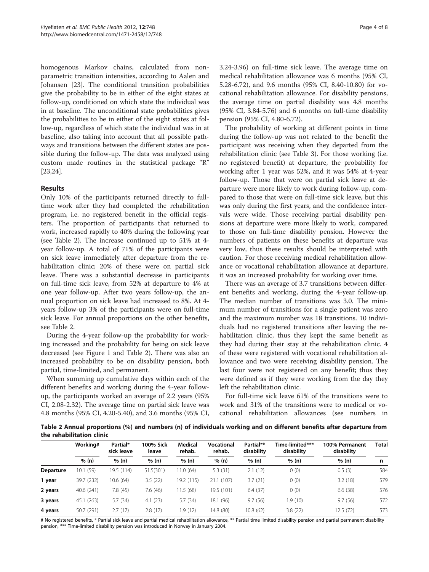homogenous Markov chains, calculated from nonparametric transition intensities, according to Aalen and Johansen [\[23\]](#page-7-0). The conditional transition probabilities give the probability to be in either of the eight states at follow-up, conditioned on which state the individual was in at baseline. The unconditional state probabilities gives the probabilities to be in either of the eight states at follow-up, regardless of which state the individual was in at baseline, also taking into account that all possible pathways and transitions between the different states are possible during the follow-up. The data was analyzed using custom made routines in the statistical package "R" [[23,24\]](#page-7-0).

### Results

Only 10% of the participants returned directly to fulltime work after they had completed the rehabilitation program, i.e. no registered benefit in the official registers. The proportion of participants that returned to work, increased rapidly to 40% during the following year (see Table 2). The increase continued up to 51% at 4 year follow-up. A total of 71% of the participants were on sick leave immediately after departure from the rehabilitation clinic; 20% of these were on partial sick leave. There was a substantial decrease in participants on full-time sick leave, from 52% at departure to 4% at one year follow-up. After two years follow-up, the annual proportion on sick leave had increased to 8%. At 4 years follow-up 3% of the participants were on full-time sick leave. For annual proportions on the other benefits, see Table 2.

During the 4-year follow-up the probability for working increased and the probability for being on sick leave decreased (see Figure [1](#page-4-0) and Table 2). There was also an increased probability to be on disability pension, both partial, time-limited, and permanent.

When summing up cumulative days within each of the different benefits and working during the 4-year followup, the participants worked an average of 2.2 years (95% CI, 2.08-2.32). The average time on partial sick leave was 4.8 months (95% CI, 4.20-5.40), and 3.6 months (95% CI,

pension (95% CI, 4.80-6.72). The probability of working at different points in time during the follow-up was not related to the benefit the participant was receiving when they departed from the rehabilitation clinic (see Table [3\)](#page-4-0). For those working (i.e. no registered benefit) at departure, the probability for working after 1 year was 52%, and it was 54% at 4-year follow-up. Those that were on partial sick leave at departure were more likely to work during follow-up, compared to those that were on full-time sick leave, but this was only during the first years, and the confidence intervals were wide. Those receiving partial disability pensions at departure were more likely to work, compared to those on full-time disability pension. However the numbers of patients on these benefits at departure was very low, thus these results should be interpreted with caution. For those receiving medical rehabilitation allowance or vocational rehabilitation allowance at departure, it was an increased probability for working over time.

There was an average of 3.7 transitions between different benefits and working, during the 4-year follow-up. The median number of transitions was 3.0. The minimum number of transitions for a single patient was zero and the maximum number was 18 transitions. 10 individuals had no registered transitions after leaving the rehabilitation clinic, thus they kept the same benefit as they had during their stay at the rehabilitation clinic. 4 of these were registered with vocational rehabilitation allowance and two were receiving disability pension. The last four were not registered on any benefit; thus they were defined as if they were working from the day they left the rehabilitation clinic.

For full-time sick leave 61% of the transitions were to work and 31% of the transitions were to medical or vocational rehabilitation allowances (see numbers in

Table 2 Annual proportions (%) and numbers (n) of individuals working and on different benefits after departure from the rehabilitation clinic

|           | Working#   | Partial*<br>sick leave | 100% Sick<br>leave | Medical<br>rehab. | Vocational<br>rehab. | Partial**<br>disability | Time-limited***<br>disability | 100% Permanent<br>disability | <b>Total</b> |
|-----------|------------|------------------------|--------------------|-------------------|----------------------|-------------------------|-------------------------------|------------------------------|--------------|
|           | % (n)      | % (n)                  | % (n)              | % (n)             | % (n)                | % (n)                   | % (n)                         | % (n)                        | n            |
| Departure | 10.1 (59)  | 19.5 (114)             | 51.5(301)          | 1.0(64)           | 5.3(31)              | 2.1(12)                 | 0(0)                          | 0.5(3)                       | 584          |
| l year    | 39.7 (232) | 10.6(64)               | 3.5(22)            | 19.2 (115)        | (107)<br>21.1        | 3.7(21)                 | 0(0)                          | 3.2(18)                      | 579          |
| 2 years   | 40.6 (241) | 7.8 (45)               | 7.6(46)            | 1.5(68)           | 19.5 (101)           | 6.4(37)                 | 0(0)                          | 6.6(38)                      | 576          |
| 3 years   | 45.1 (263) | 5.7(34)                | 4.1(23)            | 5.7(34)           | 18.1 (96)            | 9.7(56)                 | 1.9(10)                       | 9.7(56)                      | 572          |
| 4 years   | 50.7 (291) | 2.7(17)                | 2.8(17)            | 1.9 (12)          | 14.8 (80)            | 10.8 (62)               | 3.8(22)                       | 12.5 (72)                    | 573          |

# No registered benefits, \* Partial sick leave and partial medical rehabilitation allowance, \*\* Partial time limited disability pension and partial permanent disability pension, \*\*\* Time-limited disability pension was introduced in Norway in January 2004.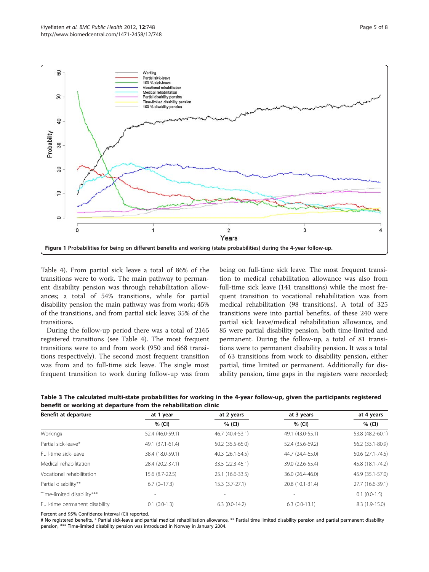<span id="page-4-0"></span>

Table [4](#page-5-0)). From partial sick leave a total of 86% of the transitions were to work. The main pathway to permanent disability pension was through rehabilitation allowances; a total of 54% transitions, while for partial disability pension the main pathway was from work; 45% of the transitions, and from partial sick leave; 35% of the transitions.

During the follow-up period there was a total of 2165 registered transitions (see Table [4](#page-5-0)). The most frequent transitions were to and from work (950 and 668 transitions respectively). The second most frequent transition was from and to full-time sick leave. The single most frequent transition to work during follow-up was from

being on full-time sick leave. The most frequent transition to medical rehabilitation allowance was also from full-time sick leave (141 transitions) while the most frequent transition to vocational rehabilitation was from medical rehabilitation (98 transitions). A total of 325 transitions were into partial benefits, of these 240 were partial sick leave/medical rehabilitation allowance, and 85 were partial disability pension, both time-limited and permanent. During the follow-up, a total of 81 transitions were to permanent disability pension. It was a total of 63 transitions from work to disability pension, either partial, time limited or permanent. Additionally for disability pension, time gaps in the registers were recorded;

Table 3 The calculated multi-state probabilities for working in the 4-year follow-up, given the participants registered benefit or working at departure from the rehabilitation clinic

| Benefit at departure           | at 1 year        | at 2 years       | at 3 years       | at 4 years<br>% (CI) |  |
|--------------------------------|------------------|------------------|------------------|----------------------|--|
|                                | % (CI)           | % (CI)           | % (CI)           |                      |  |
| Working#                       | 52.4 (46.0-59.1) | 46.7 (40.4-53.1) | 49.1 (43.0-55.1) | 53.8 (48.2-60.1)     |  |
| Partial sick-leave*            | 49.1 (37.1-61.4) | 50.2 (35.5-65.0) | 52.4 (35.6-69.2) | 56.2 (33.1-80.9)     |  |
| Full-time sick-leave           | 38.4 (18.0-59.1) | 40.3 (26.1-54.5) | 44.7 (24.4-65.0) | 50.6 (27.1-74.5)     |  |
| Medical rehabilitation         | 28.4 (20.2-37.1) | 33.5 (22.3-45.1) | 39.0 (22.6-55.4) | 45.8 (18.1-74.2)     |  |
| Vocational rehabilitation      | 15.6 (8.7-22.5)  | 25.1 (16.6-33.5) | 36.0 (26.4-46.0) | 45.9 (35.1-57.0)     |  |
| Partial disability**           | $6.7$ (0-17.3)   | $15.3(3.7-27.1)$ | 20.8 (10.1-31.4) | 27.7 (16.6-39.1)     |  |
| Time-limited disability***     |                  |                  |                  | $0.1(0.0-1.5)$       |  |
| Full-time permanent disability | $0.1$ (0.0-1.3)  | $6.3$ (0.0-14.2) | $6.3$ (0.0-13.1) | $8.3(1.9-15.0)$      |  |

Percent and 95% Confidence Interval (CI) reported.

# No registered benefits, \* Partial sick-leave and partial medical rehabilitation allowance, \*\* Partial time limited disability pension and partial permanent disability pension, \*\*\* Time-limited disability pension was introduced in Norway in January 2004.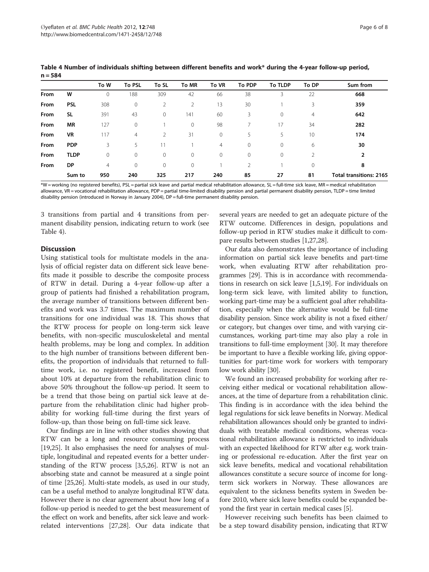|      |             | To W           | To PSL         | To SL          | To MR          | To VR          | To PDP         | To TLDP | To DP       | Sum from                       |
|------|-------------|----------------|----------------|----------------|----------------|----------------|----------------|---------|-------------|--------------------------------|
| From | W           | $\mathbf 0$    | 188            | 309            | 42             | 66             | 38             | 3       | 22          | 668                            |
| From | <b>PSL</b>  | 308            | $\mathbf 0$    | 2              | 2              | 13             | 30             |         | 3           | 359                            |
| From | <b>SL</b>   | 391            | 43             | $\mathbf{0}$   | 141            | 60             | 3              | $\circ$ | 4           | 642                            |
| From | <b>MR</b>   | 127            | $\mathbf{0}$   |                | $\overline{0}$ | 98             |                | 17      | 34          | 282                            |
| From | VR          | 117            | $\overline{4}$ | 2              | 31             | $\mathbf{0}$   | 5              | 5       | 10          | 174                            |
| From | <b>PDP</b>  | 3              | 5              | 11             |                | $\overline{4}$ | $\mathbf{0}$   | 0       | 6           | 30                             |
| From | <b>TLDP</b> | $\mathbf 0$    | $\mathbf{0}$   | $\overline{0}$ | $\overline{0}$ | $\mathbf{0}$   | $\mathbf{0}$   | $\circ$ | 2           | 2                              |
| From | DP          | $\overline{4}$ | 0              | $\mathbf{0}$   | $\mathbf{0}$   |                | $\overline{2}$ |         | $\mathbf 0$ | 8                              |
|      | Sum to      | 950            | 240            | 325            | 217            | 240            | 85             | 27      | 81          | <b>Total transitions: 2165</b> |

<span id="page-5-0"></span>Table 4 Number of individuals shifting between different benefits and work\* during the 4-year follow-up period,  $n = 584$ 

\*W = working (no registered benefits), PSL = partial sick leave and partial medical rehabilitation allowance, SL = full-time sick leave, MR = medical rehabilitation allowance, VR = vocational rehabilitation allowance, PDP = partial time-limited disability pension and partial permanent disability pension, TLDP = time limited disability pension (introduced in Norway in January 2004), DP = full-time permanent disability pension.

3 transitions from partial and 4 transitions from permanent disability pension, indicating return to work (see Table 4).

### **Discussion**

Using statistical tools for multistate models in the analysis of official register data on different sick leave benefits made it possible to describe the composite process of RTW in detail. During a 4-year follow-up after a group of patients had finished a rehabilitation program, the average number of transitions between different benefits and work was 3.7 times. The maximum number of transitions for one individual was 18. This shows that the RTW process for people on long-term sick leave benefits, with non-specific musculoskeletal and mental health problems, may be long and complex. In addition to the high number of transitions between different benefits, the proportion of individuals that returned to fulltime work, i.e. no registered benefit, increased from about 10% at departure from the rehabilitation clinic to above 50% throughout the follow-up period. It seem to be a trend that those being on partial sick leave at departure from the rehabilitation clinic had higher probability for working full-time during the first years of follow-up, than those being on full-time sick leave.

Our findings are in line with other studies showing that RTW can be a long and resource consuming process [[19,25](#page-7-0)]. It also emphasises the need for analyses of multiple, longitudinal and repeated events for a better understanding of the RTW process [[3,5](#page-7-0),[26](#page-7-0)]. RTW is not an absorbing state and cannot be measured at a single point of time [[25,26\]](#page-7-0). Multi-state models, as used in our study, can be a useful method to analyze longitudinal RTW data. However there is no clear agreement about how long of a follow-up period is needed to get the best measurement of the effect on work and benefits, after sick leave and workrelated interventions [\[27,28\]](#page-7-0). Our data indicate that

several years are needed to get an adequate picture of the RTW outcome. Differences in design, populations and follow-up period in RTW studies make it difficult to compare results between studies [[1,27,28\]](#page-7-0).

Our data also demonstrates the importance of including information on partial sick leave benefits and part-time work, when evaluating RTW after rehabilitation programmes [[29](#page-7-0)]. This is in accordance with recommendations in research on sick leave [\[1,5,19\]](#page-7-0). For individuals on long-term sick leave, with limited ability to function, working part-time may be a sufficient goal after rehabilitation, especially when the alternative would be full-time disability pension. Since work ability is not a fixed either/ or category, but changes over time, and with varying circumstances, working part-time may also play a role in transitions to full-time employment [\[30\]](#page-7-0). It may therefore be important to have a flexible working life, giving opportunities for part-time work for workers with temporary low work ability [\[30\]](#page-7-0).

We found an increased probability for working after receiving either medical or vocational rehabilitation allowances, at the time of departure from a rehabilitation clinic. This finding is in accordance with the idea behind the legal regulations for sick leave benefits in Norway. Medical rehabilitation allowances should only be granted to individuals with treatable medical conditions, whereas vocational rehabilitation allowance is restricted to individuals with an expected likelihood for RTW after e.g. work training or professional re-education. After the first year on sick leave benefits, medical and vocational rehabilitation allowances constitute a secure source of income for longterm sick workers in Norway. These allowances are equivalent to the sickness benefits system in Sweden before 2010, where sick leave benefits could be expanded beyond the first year in certain medical cases [\[5](#page-7-0)].

However receiving such benefits has been claimed to be a step toward disability pension, indicating that RTW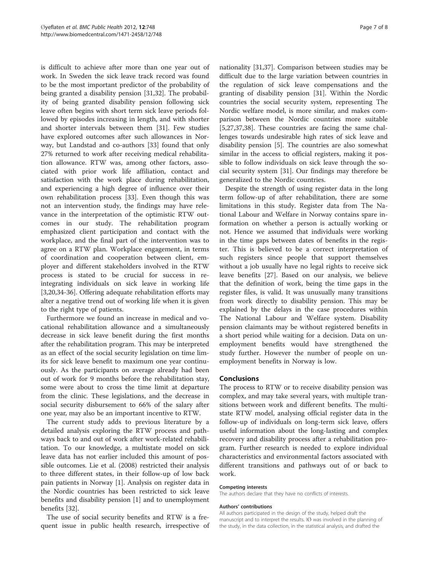is difficult to achieve after more than one year out of work. In Sweden the sick leave track record was found to be the most important predictor of the probability of being granted a disability pension [\[31,32\]](#page-7-0). The probability of being granted disability pension following sick leave often begins with short term sick leave periods followed by episodes increasing in length, and with shorter and shorter intervals between them [\[31\]](#page-7-0). Few studies have explored outcomes after such allowances in Norway, but Landstad and co-authors [[33\]](#page-7-0) found that only 27% returned to work after receiving medical rehabilitation allowance. RTW was, among other factors, associated with prior work life affiliation, contact and satisfaction with the work place during rehabilitation, and experiencing a high degree of influence over their own rehabilitation process [[33\]](#page-7-0). Even though this was not an intervention study, the findings may have relevance in the interpretation of the optimistic RTW outcomes in our study. The rehabilitation program emphasized client participation and contact with the workplace, and the final part of the intervention was to agree on a RTW plan. Workplace engagement, in terms of coordination and cooperation between client, employer and different stakeholders involved in the RTW process is stated to be crucial for success in reintegrating individuals on sick leave in working life [[3,20,34-36](#page-7-0)]. Offering adequate rehabilitation efforts may alter a negative trend out of working life when it is given to the right type of patients.

Furthermore we found an increase in medical and vocational rehabilitation allowance and a simultaneously decrease in sick leave benefit during the first months after the rehabilitation program. This may be interpreted as an effect of the social security legislation on time limits for sick leave benefit to maximum one year continuously. As the participants on average already had been out of work for 9 months before the rehabilitation stay, some were about to cross the time limit at departure from the clinic. These legislations, and the decrease in social security disbursement to 66% of the salary after one year, may also be an important incentive to RTW.

The current study adds to previous literature by a detailed analysis exploring the RTW process and pathways back to and out of work after work-related rehabilitation. To our knowledge, a multistate model on sick leave data has not earlier included this amount of possible outcomes. Lie et al. (2008) restricted their analysis to three different states, in their follow-up of low back pain patients in Norway [\[1](#page-7-0)]. Analysis on register data in the Nordic countries has been restricted to sick leave benefits and disability pension [[1\]](#page-7-0) and to unemployment benefits [[32](#page-7-0)].

The use of social security benefits and RTW is a frequent issue in public health research, irrespective of

nationality [[31,37](#page-7-0)]. Comparison between studies may be difficult due to the large variation between countries in the regulation of sick leave compensations and the granting of disability pension [\[31\]](#page-7-0). Within the Nordic countries the social security system, representing The Nordic welfare model, is more similar, and makes comparison between the Nordic countries more suitable [[5,27,37,38\]](#page-7-0). These countries are facing the same challenges towards undesirable high rates of sick leave and disability pension [\[5](#page-7-0)]. The countries are also somewhat similar in the access to official registers, making it possible to follow individuals on sick leave through the social security system [\[31](#page-7-0)]. Our findings may therefore be generalized to the Nordic countries.

Despite the strength of using register data in the long term follow-up of after rehabilitation, there are some limitations in this study. Register data from The National Labour and Welfare in Norway contains spare information on whether a person is actually working or not. Hence we assumed that individuals were working in the time gaps between dates of benefits in the register. This is believed to be a correct interpretation of such registers since people that support themselves without a job usually have no legal rights to receive sick leave benefits [\[27](#page-7-0)]. Based on our analysis, we believe that the definition of work, being the time gaps in the register files, is valid. It was unusually many transitions from work directly to disability pension. This may be explained by the delays in the case procedures within The National Labour and Welfare system. Disability pension claimants may be without registered benefits in a short period while waiting for a decision. Data on unemployment benefits would have strengthened the study further. However the number of people on unemployment benefits in Norway is low.

#### Conclusions

The process to RTW or to receive disability pension was complex, and may take several years, with multiple transitions between work and different benefits. The multistate RTW model, analysing official register data in the follow-up of individuals on long-term sick leave, offers useful information about the long-lasting and complex recovery and disability process after a rehabilitation program. Further research is needed to explore individual characteristics and environmental factors associated with different transitions and pathways out of or back to work.

#### Competing interests

The authors declare that they have no conflicts of interests.

#### Authors' contributions

All authors participated in the design of the study, helped draft the manuscript and to interpret the results. IØ was involved in the planning of the study, in the data collection, in the statistical analysis, and drafted the